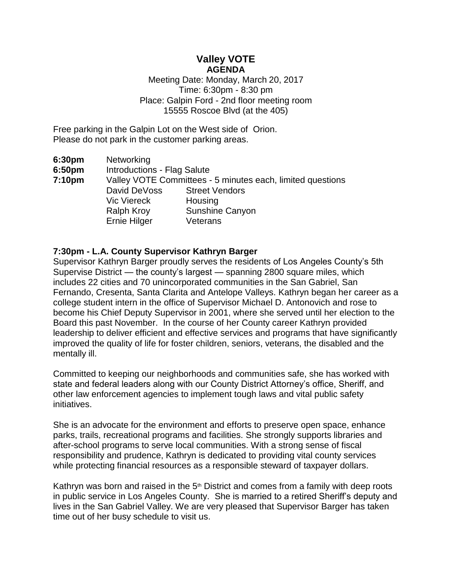# **Valley VOTE AGENDA**

Meeting Date: Monday, March 20, 2017 Time: 6:30pm - 8:30 pm Place: Galpin Ford - 2nd floor meeting room 15555 Roscoe Blvd (at the 405)

Free parking in the Galpin Lot on the West side of Orion. Please do not park in the customer parking areas.

| 6:30pm | Networking                                                 |                       |
|--------|------------------------------------------------------------|-----------------------|
| 6:50pm | <b>Introductions - Flag Salute</b>                         |                       |
| 7:10pm | Valley VOTE Committees - 5 minutes each, limited questions |                       |
|        | David DeVoss                                               | <b>Street Vendors</b> |
|        | <b>Vic Viereck</b>                                         | Housing               |
|        | <b>Ralph Kroy</b>                                          | Sunshine Canyon       |
|        | Ernie Hilger                                               | Veterans              |

## **7:30pm - L.A. County Supervisor Kathryn Barger**

Supervisor Kathryn Barger proudly serves the residents of Los Angeles County's 5th Supervise District — the county's largest — spanning 2800 square miles, which includes 22 cities and 70 unincorporated communities in the San Gabriel, San Fernando, Cresenta, Santa Clarita and Antelope Valleys. Kathryn began her career as a college student intern in the office of Supervisor Michael D. Antonovich and rose to become his Chief Deputy Supervisor in 2001, where she served until her election to the Board this past November. In the course of her County career Kathryn provided leadership to deliver efficient and effective services and programs that have significantly improved the quality of life for foster children, seniors, veterans, the disabled and the mentally ill.

Committed to keeping our neighborhoods and communities safe, she has worked with state and federal leaders along with our County District Attorney's office, Sheriff, and other law enforcement agencies to implement tough laws and vital public safety initiatives.

She is an advocate for the environment and efforts to preserve open space, enhance parks, trails, recreational programs and facilities. She strongly supports libraries and after-school programs to serve local communities. With a strong sense of fiscal responsibility and prudence, Kathryn is dedicated to providing vital county services while protecting financial resources as a responsible steward of taxpayer dollars.

Kathryn was born and raised in the  $5<sup>th</sup>$  District and comes from a family with deep roots in public service in Los Angeles County. She is married to a retired Sheriff's deputy and lives in the San Gabriel Valley. We are very pleased that Supervisor Barger has taken time out of her busy schedule to visit us.